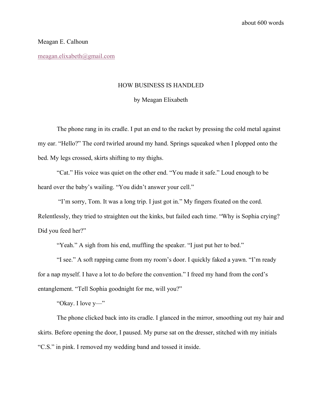## Meagan E. Calhoun

meagan.elixabeth@gmail.com

## HOW BUSINESS IS HANDLED

## by Meagan Elixabeth

The phone rang in its cradle. I put an end to the racket by pressing the cold metal against my ear. "Hello?" The cord twirled around my hand. Springs squeaked when I plopped onto the bed. My legs crossed, skirts shifting to my thighs.

"Cat." His voice was quiet on the other end. "You made it safe." Loud enough to be heard over the baby's wailing. "You didn't answer your cell."

"I'm sorry, Tom. It was a long trip. I just got in." My fingers fixated on the cord. Relentlessly, they tried to straighten out the kinks, but failed each time. "Why is Sophia crying? Did you feed her?"

"Yeah." A sigh from his end, muffling the speaker. "I just put her to bed."

"I see." A soft rapping came from my room's door. I quickly faked a yawn. "I'm ready for a nap myself. I have a lot to do before the convention." I freed my hand from the cord's entanglement. "Tell Sophia goodnight for me, will you?"

"Okay. I love y—"

The phone clicked back into its cradle. I glanced in the mirror, smoothing out my hair and skirts. Before opening the door, I paused. My purse sat on the dresser, stitched with my initials "C.S." in pink. I removed my wedding band and tossed it inside.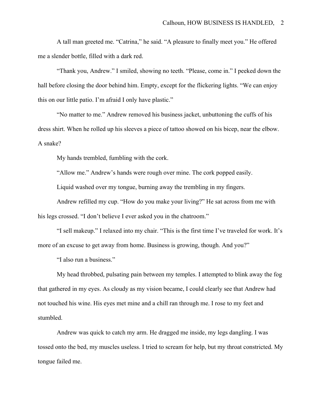A tall man greeted me. "Catrina," he said. "A pleasure to finally meet you." He offered me a slender bottle, filled with a dark red.

"Thank you, Andrew." I smiled, showing no teeth. "Please, come in." I peeked down the hall before closing the door behind him. Empty, except for the flickering lights. "We can enjoy this on our little patio. I'm afraid I only have plastic."

"No matter to me." Andrew removed his business jacket, unbuttoning the cuffs of his dress shirt. When he rolled up his sleeves a piece of tattoo showed on his bicep, near the elbow. A snake?

My hands trembled, fumbling with the cork.

"Allow me." Andrew's hands were rough over mine. The cork popped easily.

Liquid washed over my tongue, burning away the trembling in my fingers.

Andrew refilled my cup. "How do you make your living?" He sat across from me with his legs crossed. "I don't believe I ever asked you in the chatroom."

"I sell makeup." I relaxed into my chair. "This is the first time I've traveled for work. It's more of an excuse to get away from home. Business is growing, though. And you?"

"I also run a business."

My head throbbed, pulsating pain between my temples. I attempted to blink away the fog that gathered in my eyes. As cloudy as my vision became, I could clearly see that Andrew had not touched his wine. His eyes met mine and a chill ran through me. I rose to my feet and stumbled.

Andrew was quick to catch my arm. He dragged me inside, my legs dangling. I was tossed onto the bed, my muscles useless. I tried to scream for help, but my throat constricted. My tongue failed me.